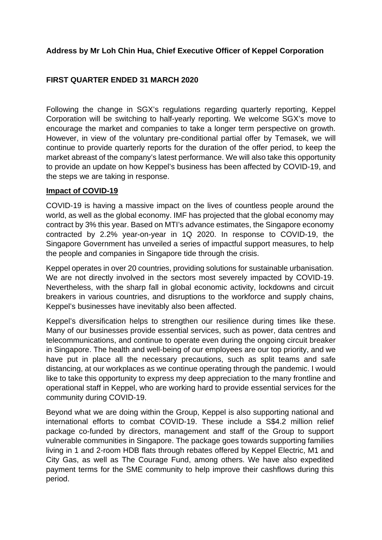# **Address by Mr Loh Chin Hua, Chief Executive Officer of Keppel Corporation**

# **FIRST QUARTER ENDED 31 MARCH 2020**

Following the change in SGX's regulations regarding quarterly reporting, Keppel Corporation will be switching to half-yearly reporting. We welcome SGX's move to encourage the market and companies to take a longer term perspective on growth. However, in view of the voluntary pre-conditional partial offer by Temasek, we will continue to provide quarterly reports for the duration of the offer period, to keep the market abreast of the company's latest performance. We will also take this opportunity to provide an update on how Keppel's business has been affected by COVID-19, and the steps we are taking in response.

### **Impact of COVID-19**

COVID-19 is having a massive impact on the lives of countless people around the world, as well as the global economy. IMF has projected that the global economy may contract by 3% this year. Based on MTI's advance estimates, the Singapore economy contracted by 2.2% year-on-year in 1Q 2020. In response to COVID-19, the Singapore Government has unveiled a series of impactful support measures, to help the people and companies in Singapore tide through the crisis.

Keppel operates in over 20 countries, providing solutions for sustainable urbanisation. We are not directly involved in the sectors most severely impacted by COVID-19. Nevertheless, with the sharp fall in global economic activity, lockdowns and circuit breakers in various countries, and disruptions to the workforce and supply chains, Keppel's businesses have inevitably also been affected.

Keppel's diversification helps to strengthen our resilience during times like these. Many of our businesses provide essential services, such as power, data centres and telecommunications, and continue to operate even during the ongoing circuit breaker in Singapore. The health and well-being of our employees are our top priority, and we have put in place all the necessary precautions, such as split teams and safe distancing, at our workplaces as we continue operating through the pandemic. I would like to take this opportunity to express my deep appreciation to the many frontline and operational staff in Keppel, who are working hard to provide essential services for the community during COVID-19.

Beyond what we are doing within the Group, Keppel is also supporting national and international efforts to combat COVID-19. These include a S\$4.2 million relief package co-funded by directors, management and staff of the Group to support vulnerable communities in Singapore. The package goes towards supporting families living in 1 and 2-room HDB flats through rebates offered by Keppel Electric, M1 and City Gas, as well as The Courage Fund, among others. We have also expedited payment terms for the SME community to help improve their cashflows during this period.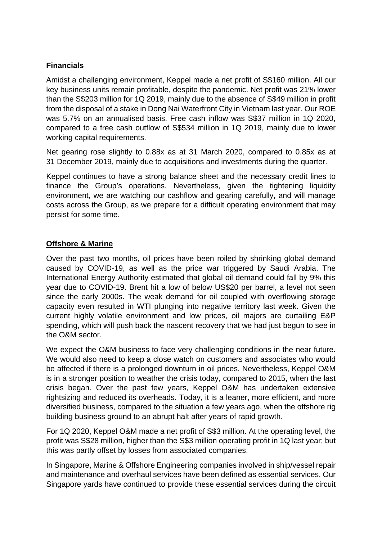### **Financials**

Amidst a challenging environment, Keppel made a net profit of S\$160 million. All our key business units remain profitable, despite the pandemic. Net profit was 21% lower than the S\$203 million for 1Q 2019, mainly due to the absence of S\$49 million in profit from the disposal of a stake in Dong Nai Waterfront City in Vietnam last year. Our ROE was 5.7% on an annualised basis. Free cash inflow was S\$37 million in 1Q 2020, compared to a free cash outflow of S\$534 million in 1Q 2019, mainly due to lower working capital requirements.

Net gearing rose slightly to 0.88x as at 31 March 2020, compared to 0.85x as at 31 December 2019, mainly due to acquisitions and investments during the quarter.

Keppel continues to have a strong balance sheet and the necessary credit lines to finance the Group's operations. Nevertheless, given the tightening liquidity environment, we are watching our cashflow and gearing carefully, and will manage costs across the Group, as we prepare for a difficult operating environment that may persist for some time.

## **Offshore & Marine**

Over the past two months, oil prices have been roiled by shrinking global demand caused by COVID-19, as well as the price war triggered by Saudi Arabia. The International Energy Authority estimated that global oil demand could fall by 9% this year due to COVID-19. Brent hit a low of below US\$20 per barrel, a level not seen since the early 2000s. The weak demand for oil coupled with overflowing storage capacity even resulted in WTI plunging into negative territory last week. Given the current highly volatile environment and low prices, oil majors are curtailing E&P spending, which will push back the nascent recovery that we had just begun to see in the O&M sector.

We expect the O&M business to face very challenging conditions in the near future. We would also need to keep a close watch on customers and associates who would be affected if there is a prolonged downturn in oil prices. Nevertheless, Keppel O&M is in a stronger position to weather the crisis today, compared to 2015, when the last crisis began. Over the past few years, Keppel O&M has undertaken extensive rightsizing and reduced its overheads. Today, it is a leaner, more efficient, and more diversified business, compared to the situation a few years ago, when the offshore rig building business ground to an abrupt halt after years of rapid growth.

For 1Q 2020, Keppel O&M made a net profit of S\$3 million. At the operating level, the profit was S\$28 million, higher than the S\$3 million operating profit in 1Q last year; but this was partly offset by losses from associated companies.

In Singapore, Marine & Offshore Engineering companies involved in ship/vessel repair and maintenance and overhaul services have been defined as essential services. Our Singapore yards have continued to provide these essential services during the circuit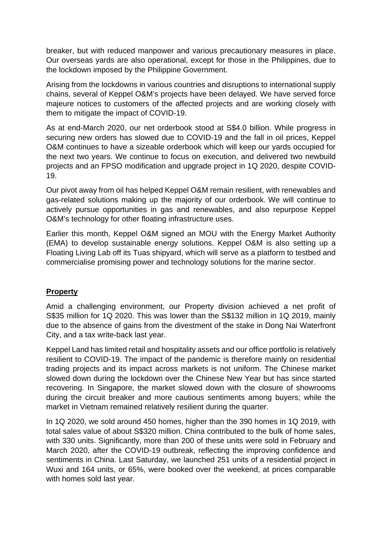breaker, but with reduced manpower and various precautionary measures in place. Our overseas yards are also operational, except for those in the Philippines, due to the lockdown imposed by the Philippine Government.

Arising from the lockdowns in various countries and disruptions to international supply chains, several of Keppel O&M's projects have been delayed. We have served force majeure notices to customers of the affected projects and are working closely with them to mitigate the impact of COVID-19.

As at end-March 2020, our net orderbook stood at S\$4.0 billion. While progress in securing new orders has slowed due to COVID-19 and the fall in oil prices, Keppel O&M continues to have a sizeable orderbook which will keep our yards occupied for the next two years. We continue to focus on execution, and delivered two newbuild projects and an FPSO modification and upgrade project in 1Q 2020, despite COVID-19.

Our pivot away from oil has helped Keppel O&M remain resilient, with renewables and gas-related solutions making up the majority of our orderbook. We will continue to actively pursue opportunities in gas and renewables, and also repurpose Keppel O&M's technology for other floating infrastructure uses.

Earlier this month, Keppel O&M signed an MOU with the Energy Market Authority (EMA) to develop sustainable energy solutions. Keppel O&M is also setting up a Floating Living Lab off its Tuas shipyard, which will serve as a platform to testbed and commercialise promising power and technology solutions for the marine sector.

## **Property**

Amid a challenging environment, our Property division achieved a net profit of S\$35 million for 1Q 2020. This was lower than the S\$132 million in 1Q 2019, mainly due to the absence of gains from the divestment of the stake in Dong Nai Waterfront City, and a tax write-back last year.

Keppel Land has limited retail and hospitality assets and our office portfolio is relatively resilient to COVID-19. The impact of the pandemic is therefore mainly on residential trading projects and its impact across markets is not uniform. The Chinese market slowed down during the lockdown over the Chinese New Year but has since started recovering. In Singapore, the market slowed down with the closure of showrooms during the circuit breaker and more cautious sentiments among buyers; while the market in Vietnam remained relatively resilient during the quarter.

In 1Q 2020, we sold around 450 homes, higher than the 390 homes in 1Q 2019, with total sales value of about S\$320 million. China contributed to the bulk of home sales, with 330 units. Significantly, more than 200 of these units were sold in February and March 2020, after the COVID-19 outbreak, reflecting the improving confidence and sentiments in China. Last Saturday, we launched 251 units of a residential project in Wuxi and 164 units, or 65%, were booked over the weekend, at prices comparable with homes sold last year.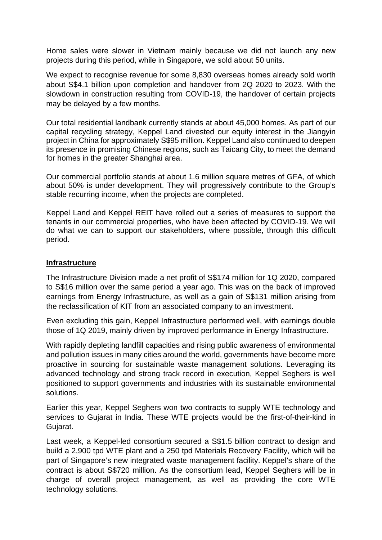Home sales were slower in Vietnam mainly because we did not launch any new projects during this period, while in Singapore, we sold about 50 units.

We expect to recognise revenue for some 8,830 overseas homes already sold worth about S\$4.1 billion upon completion and handover from 2Q 2020 to 2023. With the slowdown in construction resulting from COVID-19, the handover of certain projects may be delayed by a few months.

Our total residential landbank currently stands at about 45,000 homes. As part of our capital recycling strategy, Keppel Land divested our equity interest in the Jiangyin project in China for approximately S\$95 million. Keppel Land also continued to deepen its presence in promising Chinese regions, such as Taicang City, to meet the demand for homes in the greater Shanghai area.

Our commercial portfolio stands at about 1.6 million square metres of GFA, of which about 50% is under development. They will progressively contribute to the Group's stable recurring income, when the projects are completed.

Keppel Land and Keppel REIT have rolled out a series of measures to support the tenants in our commercial properties, who have been affected by COVID-19. We will do what we can to support our stakeholders, where possible, through this difficult period.

#### **Infrastructure**

The Infrastructure Division made a net profit of S\$174 million for 1Q 2020, compared to S\$16 million over the same period a year ago. This was on the back of improved earnings from Energy Infrastructure, as well as a gain of S\$131 million arising from the reclassification of KIT from an associated company to an investment.

Even excluding this gain, Keppel Infrastructure performed well, with earnings double those of 1Q 2019, mainly driven by improved performance in Energy Infrastructure.

With rapidly depleting landfill capacities and rising public awareness of environmental and pollution issues in many cities around the world, governments have become more proactive in sourcing for sustainable waste management solutions. Leveraging its advanced technology and strong track record in execution, Keppel Seghers is well positioned to support governments and industries with its sustainable environmental solutions.

Earlier this year, Keppel Seghers won two contracts to supply WTE technology and services to Gujarat in India. These WTE projects would be the first-of-their-kind in Gujarat.

Last week, a Keppel-led consortium secured a S\$1.5 billion contract to design and build a 2,900 tpd WTE plant and a 250 tpd Materials Recovery Facility, which will be part of Singapore's new integrated waste management facility. Keppel's share of the contract is about S\$720 million. As the consortium lead, Keppel Seghers will be in charge of overall project management, as well as providing the core WTE technology solutions.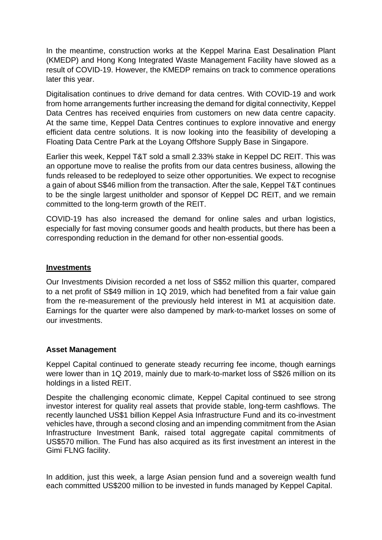In the meantime, construction works at the Keppel Marina East Desalination Plant (KMEDP) and Hong Kong Integrated Waste Management Facility have slowed as a result of COVID-19. However, the KMEDP remains on track to commence operations later this year.

Digitalisation continues to drive demand for data centres. With COVID-19 and work from home arrangements further increasing the demand for digital connectivity, Keppel Data Centres has received enquiries from customers on new data centre capacity. At the same time, Keppel Data Centres continues to explore innovative and energy efficient data centre solutions. It is now looking into the feasibility of developing a Floating Data Centre Park at the Loyang Offshore Supply Base in Singapore.

Earlier this week, Keppel T&T sold a small 2.33% stake in Keppel DC REIT. This was an opportune move to realise the profits from our data centres business, allowing the funds released to be redeployed to seize other opportunities. We expect to recognise a gain of about S\$46 million from the transaction. After the sale, Keppel T&T continues to be the single largest unitholder and sponsor of Keppel DC REIT, and we remain committed to the long-term growth of the REIT.

COVID-19 has also increased the demand for online sales and urban logistics, especially for fast moving consumer goods and health products, but there has been a corresponding reduction in the demand for other non-essential goods.

### **Investments**

Our Investments Division recorded a net loss of S\$52 million this quarter, compared to a net profit of S\$49 million in 1Q 2019, which had benefited from a fair value gain from the re-measurement of the previously held interest in M1 at acquisition date. Earnings for the quarter were also dampened by mark-to-market losses on some of our investments.

#### **Asset Management**

Keppel Capital continued to generate steady recurring fee income, though earnings were lower than in 1Q 2019, mainly due to mark-to-market loss of S\$26 million on its holdings in a listed REIT.

Despite the challenging economic climate, Keppel Capital continued to see strong investor interest for quality real assets that provide stable, long-term cashflows. The recently launched US\$1 billion Keppel Asia Infrastructure Fund and its co-investment vehicles have, through a second closing and an impending commitment from the Asian Infrastructure Investment Bank, raised total aggregate capital commitments of US\$570 million. The Fund has also acquired as its first investment an interest in the Gimi FLNG facility.

In addition, just this week, a large Asian pension fund and a sovereign wealth fund each committed US\$200 million to be invested in funds managed by Keppel Capital.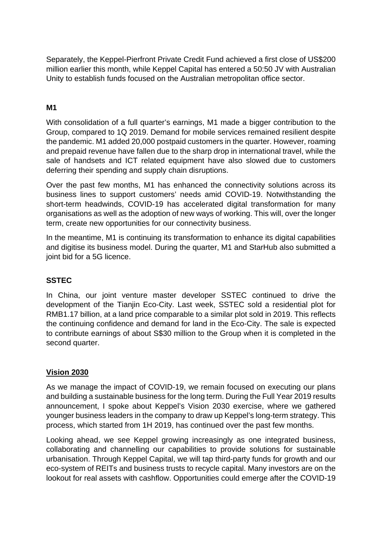Separately, the Keppel-Pierfront Private Credit Fund achieved a first close of US\$200 million earlier this month, while Keppel Capital has entered a 50:50 JV with Australian Unity to establish funds focused on the Australian metropolitan office sector.

# **M1**

With consolidation of a full quarter's earnings, M1 made a bigger contribution to the Group, compared to 1Q 2019. Demand for mobile services remained resilient despite the pandemic. M1 added 20,000 postpaid customers in the quarter. However, roaming and prepaid revenue have fallen due to the sharp drop in international travel, while the sale of handsets and ICT related equipment have also slowed due to customers deferring their spending and supply chain disruptions.

Over the past few months, M1 has enhanced the connectivity solutions across its business lines to support customers' needs amid COVID-19. Notwithstanding the short-term headwinds, COVID-19 has accelerated digital transformation for many organisations as well as the adoption of new ways of working. This will, over the longer term, create new opportunities for our connectivity business.

In the meantime, M1 is continuing its transformation to enhance its digital capabilities and digitise its business model. During the quarter, M1 and StarHub also submitted a joint bid for a 5G licence.

## **SSTEC**

In China, our joint venture master developer SSTEC continued to drive the development of the Tianjin Eco-City. Last week, SSTEC sold a residential plot for RMB1.17 billion, at a land price comparable to a similar plot sold in 2019. This reflects the continuing confidence and demand for land in the Eco-City. The sale is expected to contribute earnings of about S\$30 million to the Group when it is completed in the second quarter.

## **Vision 2030**

As we manage the impact of COVID-19, we remain focused on executing our plans and building a sustainable business for the long term. During the Full Year 2019 results announcement, I spoke about Keppel's Vision 2030 exercise, where we gathered younger business leaders in the company to draw up Keppel's long-term strategy. This process, which started from 1H 2019, has continued over the past few months.

Looking ahead, we see Keppel growing increasingly as one integrated business, collaborating and channelling our capabilities to provide solutions for sustainable urbanisation. Through Keppel Capital, we will tap third-party funds for growth and our eco-system of REITs and business trusts to recycle capital. Many investors are on the lookout for real assets with cashflow. Opportunities could emerge after the COVID-19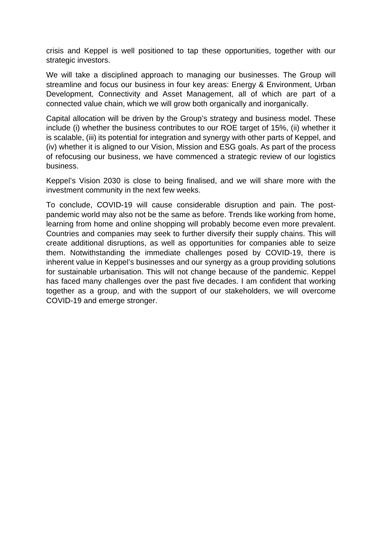crisis and Keppel is well positioned to tap these opportunities, together with our strategic investors.

We will take a disciplined approach to managing our businesses. The Group will streamline and focus our business in four key areas: Energy & Environment, Urban Development, Connectivity and Asset Management, all of which are part of a connected value chain, which we will grow both organically and inorganically.

Capital allocation will be driven by the Group's strategy and business model. These include (i) whether the business contributes to our ROE target of 15%, (ii) whether it is scalable, (iii) its potential for integration and synergy with other parts of Keppel, and (iv) whether it is aligned to our Vision, Mission and ESG goals. As part of the process of refocusing our business, we have commenced a strategic review of our logistics business.

Keppel's Vision 2030 is close to being finalised, and we will share more with the investment community in the next few weeks.

To conclude, COVID-19 will cause considerable disruption and pain. The postpandemic world may also not be the same as before. Trends like working from home, learning from home and online shopping will probably become even more prevalent. Countries and companies may seek to further diversify their supply chains. This will create additional disruptions, as well as opportunities for companies able to seize them. Notwithstanding the immediate challenges posed by COVID-19, there is inherent value in Keppel's businesses and our synergy as a group providing solutions for sustainable urbanisation. This will not change because of the pandemic. Keppel has faced many challenges over the past five decades. I am confident that working together as a group, and with the support of our stakeholders, we will overcome COVID-19 and emerge stronger.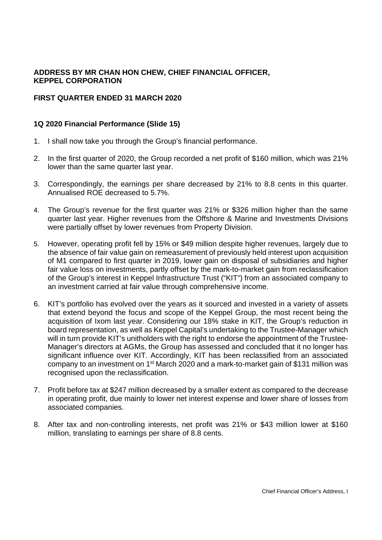### **ADDRESS BY MR CHAN HON CHEW, CHIEF FINANCIAL OFFICER, KEPPEL CORPORATION**

### **FIRST QUARTER ENDED 31 MARCH 2020**

#### **1Q 2020 Financial Performance (Slide 15)**

- 1. I shall now take you through the Group's financial performance.
- 2. In the first quarter of 2020, the Group recorded a net profit of \$160 million, which was 21% lower than the same quarter last year.
- 3. Correspondingly, the earnings per share decreased by 21% to 8.8 cents in this quarter. Annualised ROE decreased to 5.7%.
- 4. The Group's revenue for the first quarter was 21% or \$326 million higher than the same quarter last year. Higher revenues from the Offshore & Marine and Investments Divisions were partially offset by lower revenues from Property Division.
- 5. However, operating profit fell by 15% or \$49 million despite higher revenues, largely due to the absence of fair value gain on remeasurement of previously held interest upon acquisition of M1 compared to first quarter in 2019, lower gain on disposal of subsidiaries and higher fair value loss on investments, partly offset by the mark-to-market gain from reclassification of the Group's interest in Keppel Infrastructure Trust ("KIT") from an associated company to an investment carried at fair value through comprehensive income.
- 6. KIT's portfolio has evolved over the years as it sourced and invested in a variety of assets that extend beyond the focus and scope of the Keppel Group, the most recent being the acquisition of Ixom last year. Considering our 18% stake in KIT, the Group's reduction in board representation, as well as Keppel Capital's undertaking to the Trustee-Manager which will in turn provide KIT's unitholders with the right to endorse the appointment of the Trustee-Manager's directors at AGMs, the Group has assessed and concluded that it no longer has significant influence over KIT. Accordingly, KIT has been reclassified from an associated company to an investment on 1st March 2020 and a mark-to-market gain of \$131 million was recognised upon the reclassification.
- 7. Profit before tax at \$247 million decreased by a smaller extent as compared to the decrease in operating profit, due mainly to lower net interest expense and lower share of losses from associated companies.
- 8. After tax and non-controlling interests, net profit was 21% or \$43 million lower at \$160 million, translating to earnings per share of 8.8 cents.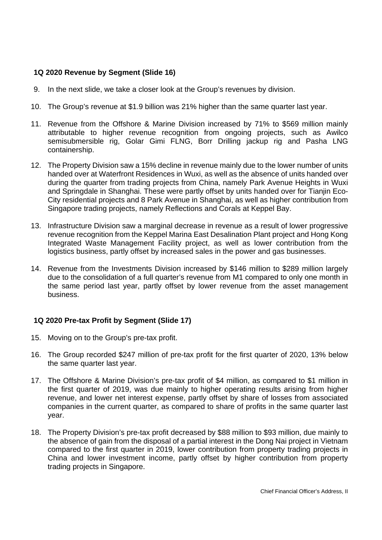### **1Q 2020 Revenue by Segment (Slide 16)**

- 9. In the next slide, we take a closer look at the Group's revenues by division.
- 10. The Group's revenue at \$1.9 billion was 21% higher than the same quarter last year.
- 11. Revenue from the Offshore & Marine Division increased by 71% to \$569 million mainly attributable to higher revenue recognition from ongoing projects, such as Awilco semisubmersible rig, Golar Gimi FLNG, Borr Drilling jackup rig and Pasha LNG containership.
- 12. The Property Division saw a 15% decline in revenue mainly due to the lower number of units handed over at Waterfront Residences in Wuxi, as well as the absence of units handed over during the quarter from trading projects from China, namely Park Avenue Heights in Wuxi and Springdale in Shanghai. These were partly offset by units handed over for Tianjin Eco-City residential projects and 8 Park Avenue in Shanghai, as well as higher contribution from Singapore trading projects, namely Reflections and Corals at Keppel Bay.
- 13. Infrastructure Division saw a marginal decrease in revenue as a result of lower progressive revenue recognition from the Keppel Marina East Desalination Plant project and Hong Kong Integrated Waste Management Facility project, as well as lower contribution from the logistics business, partly offset by increased sales in the power and gas businesses.
- 14. Revenue from the Investments Division increased by \$146 million to \$289 million largely due to the consolidation of a full quarter's revenue from M1 compared to only one month in the same period last year, partly offset by lower revenue from the asset management business.

### **1Q 2020 Pre-tax Profit by Segment (Slide 17)**

- 15. Moving on to the Group's pre-tax profit.
- 16. The Group recorded \$247 million of pre-tax profit for the first quarter of 2020, 13% below the same quarter last year.
- 17. The Offshore & Marine Division's pre-tax profit of \$4 million, as compared to \$1 million in the first quarter of 2019, was due mainly to higher operating results arising from higher revenue, and lower net interest expense, partly offset by share of losses from associated companies in the current quarter, as compared to share of profits in the same quarter last year.
- 18. The Property Division's pre-tax profit decreased by \$88 million to \$93 million, due mainly to the absence of gain from the disposal of a partial interest in the Dong Nai project in Vietnam compared to the first quarter in 2019, lower contribution from property trading projects in China and lower investment income, partly offset by higher contribution from property trading projects in Singapore.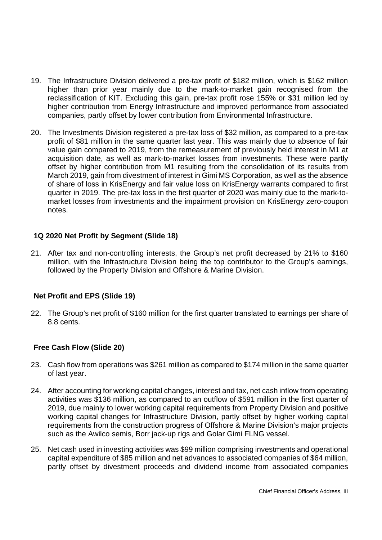- 19. The Infrastructure Division delivered a pre-tax profit of \$182 million, which is \$162 million higher than prior year mainly due to the mark-to-market gain recognised from the reclassification of KIT. Excluding this gain, pre-tax profit rose 155% or \$31 million led by higher contribution from Energy Infrastructure and improved performance from associated companies, partly offset by lower contribution from Environmental Infrastructure.
- 20. The Investments Division registered a pre-tax loss of \$32 million, as compared to a pre-tax profit of \$81 million in the same quarter last year. This was mainly due to absence of fair value gain compared to 2019, from the remeasurement of previously held interest in M1 at acquisition date, as well as mark-to-market losses from investments. These were partly offset by higher contribution from M1 resulting from the consolidation of its results from March 2019, gain from divestment of interest in Gimi MS Corporation, as well as the absence of share of loss in KrisEnergy and fair value loss on KrisEnergy warrants compared to first quarter in 2019. The pre-tax loss in the first quarter of 2020 was mainly due to the mark-tomarket losses from investments and the impairment provision on KrisEnergy zero-coupon notes.

### **1Q 2020 Net Profit by Segment (Slide 18)**

21. After tax and non-controlling interests, the Group's net profit decreased by 21% to \$160 million, with the Infrastructure Division being the top contributor to the Group's earnings, followed by the Property Division and Offshore & Marine Division.

#### **Net Profit and EPS (Slide 19)**

22. The Group's net profit of \$160 million for the first quarter translated to earnings per share of 8.8 cents.

### **Free Cash Flow (Slide 20)**

- 23. Cash flow from operations was \$261 million as compared to \$174 million in the same quarter of last year.
- 24. After accounting for working capital changes, interest and tax, net cash inflow from operating activities was \$136 million, as compared to an outflow of \$591 million in the first quarter of 2019, due mainly to lower working capital requirements from Property Division and positive working capital changes for Infrastructure Division, partly offset by higher working capital requirements from the construction progress of Offshore & Marine Division's major projects such as the Awilco semis, Borr jack-up rigs and Golar Gimi FLNG vessel.
- 25. Net cash used in investing activities was \$99 million comprising investments and operational capital expenditure of \$85 million and net advances to associated companies of \$64 million, partly offset by divestment proceeds and dividend income from associated companies